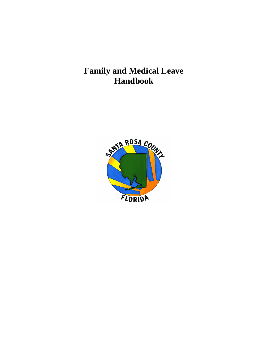# **Family and Medical Leave Handbook**

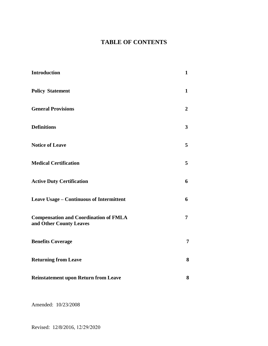# **TABLE OF CONTENTS**

| <b>Introduction</b>                                                     | $\mathbf{1}$   |
|-------------------------------------------------------------------------|----------------|
| <b>Policy Statement</b>                                                 | $\mathbf{1}$   |
| <b>General Provisions</b>                                               | $\overline{2}$ |
| <b>Definitions</b>                                                      | 3              |
| <b>Notice of Leave</b>                                                  | 5              |
| <b>Medical Certification</b>                                            | 5              |
| <b>Active Duty Certification</b>                                        | 6              |
| Leave Usage - Continuous of Intermittent                                | 6              |
| <b>Compensation and Coordination of FMLA</b><br>and Other County Leaves | 7              |
| <b>Benefits Coverage</b>                                                | 7              |
| <b>Returning from Leave</b>                                             | 8              |
| <b>Reinstatement upon Return from Leave</b>                             | 8              |

Amended: 10/23/2008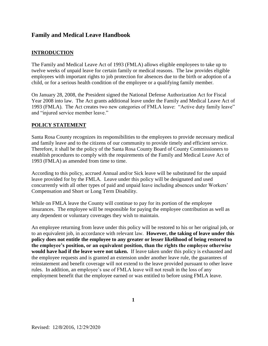# **Family and Medical Leave Handbook**

### **INTRODUCTION**

The Family and Medical Leave Act of 1993 (FMLA) allows eligible employees to take up to twelve weeks of unpaid leave for certain family or medical reasons. The law provides eligible employees with important rights to job protection for absences due to the birth or adoption of a child, or for a serious health condition of the employee or a qualifying family member.

On January 28, 2008, the President signed the National Defense Authorization Act for Fiscal Year 2008 into law. The Act grants additional leave under the Family and Medical Leave Act of 1993 (FMLA). The Act creates two new categories of FMLA leave: "Active duty family leave" and "injured service member leave."

#### **POLICY STATEMENT**

Santa Rosa County recognizes its responsibilities to the employees to provide necessary medical and family leave and to the citizens of our community to provide timely and efficient service. Therefore, it shall be the policy of the Santa Rosa County Board of County Commissioners to establish procedures to comply with the requirements of the Family and Medical Leave Act of 1993 (FMLA) as amended from time to time.

According to this policy, accrued Annual and/or Sick leave will be substituted for the unpaid leave provided for by the FMLA. Leave under this policy will be designated and used concurrently with all other types of paid and unpaid leave including absences under Workers' Compensation and Short or Long Term Disability.

While on FMLA leave the County will continue to pay for its portion of the employee insurances. The employee will be responsible for paying the employee contribution as well as any dependent or voluntary coverages they wish to maintain.

An employee returning from leave under this policy will be restored to his or her original job, or to an equivalent job, in accordance with relevant law. **However, the taking of leave under this policy does not entitle the employee to any greater or lesser likelihood of being restored to the employee's position, or an equivalent position, than the rights the employee otherwise would have had if the leave were not taken.** If leave taken under this policy is exhausted and the employee requests and is granted an extension under another leave rule, the guarantees of reinstatement and benefit coverage will not extend to the leave provided pursuant to other leave rules. In addition, an employee's use of FMLA leave will not result in the loss of any employment benefit that the employee earned or was entitled to before using FMLA leave.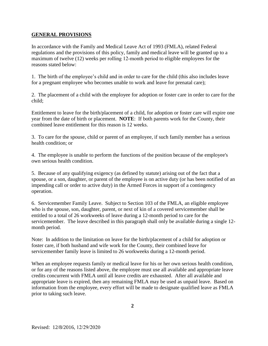#### **GENERAL PROVISIONS**

In accordance with the Family and Medical Leave Act of 1993 (FMLA), related Federal regulations and the provisions of this policy, family and medical leave will be granted up to a maximum of twelve (12) weeks per rolling 12-month period to eligible employees for the reasons stated below:

1. The birth of the employee's child and in order to care for the child (this also includes leave for a pregnant employee who becomes unable to work and leave for prenatal care);

2. The placement of a child with the employee for adoption or foster care in order to care for the child;

Entitlement to leave for the birth/placement of a child, for adoption or foster care will expire one year from the date of birth or placement. **NOTE**: If both parents work for the County, their combined leave entitlement for this reason is 12 weeks.

3. To care for the spouse, child or parent of an employee, if such family member has a serious health condition; or

4. The employee is unable to perform the functions of the position because of the employee's own serious health condition.

5. Because of any qualifying exigency (as defined by statute) arising out of the fact that a spouse, or a son, daughter, or parent of the employee is on active duty (or has been notified of an impending call or order to active duty) in the Armed Forces in support of a contingency operation.

6. Servicemember Family Leave. Subject to Section 103 of the FMLA, an eligible employee who is the spouse, son, daughter, parent, or next of kin of a covered servicemember shall be entitled to a total of 26 workweeks of leave during a 12-month period to care for the servicemember. The leave described in this paragraph shall only be available during a single 12 month period.

Note: In addition to the limitation on leave for the birth/placement of a child for adoption or foster care, if both husband and wife work for the County, their combined leave for servicemember family leave is limited to 26 workweeks during a 12-month period.

When an employee requests family or medical leave for his or her own serious health condition, or for any of the reasons listed above, the employee must use all available and appropriate leave credits concurrent with FMLA until all leave credits are exhausted. After all available and appropriate leave is expired, then any remaining FMLA may be used as unpaid leave. Based on information from the employee, every effort will be made to designate qualified leave as FMLA prior to taking such leave.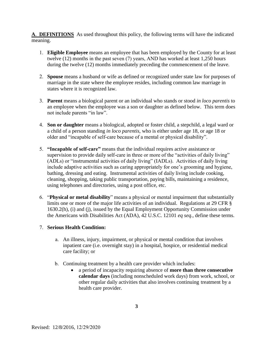**A**. **DEFINITIONS** As used throughout this policy, the following terms will have the indicated meaning.

- 1. **Eligible Employee** means an employee that has been employed by the County for at least twelve (12) months in the past seven (7) years, AND has worked at least 1,250 hours during the twelve (12) months immediately preceding the commencement of the leave.
- 2. **Spouse** means a husband or wife as defined or recognized under state law for purposes of marriage in the state where the employee resides, including common law marriage in states where it is recognized law.
- 3. **Parent** means a biological parent or an individual who stands or stood *in loco parentis* to an employee when the employee was a son or daughter as defined below. This term does not include parents "in law".
- 4. **Son or daughter** means a biological, adopted or foster child, a stepchild, a legal ward or a child of a person standing *in loco parentis*, who is either under age 18, or age 18 or older and "incapable of self-care because of a mental or physical disability".
- 5. **"Incapable of self-care"** means that the individual requires active assistance or supervision to provide daily self-care in three or more of the "activities of daily living" (ADLs) or "instrumental activities of daily living" (IADLs). Activities of daily living include adaptive activities such as caring appropriately for one's grooming and hygiene, bathing, dressing and eating. Instrumental activities of daily living include cooking, cleaning, shopping, taking public transportation, paying bills, maintaining a residence, using telephones and directories, using a post office, etc.
- 6. "**Physical or metal disability**" means a physical or mental impairment that substantially limits one or more of the major life activities of an individual. Regulations at 29 CFR § 1630.2(h), (i) and (j), issued by the Equal Employment Opportunity Commission under the Americans with Disabilities Act (ADA), 42 U.S.C. 12101 *eq seq.,* define these terms.

#### 7. **Serious Health Condition:**

- a. An illness, injury, impairment, or physical or mental condition that involves inpatient care (i.e. overnight stay) in a hospital, hospice, or residential medical care facility; or
- b. Continuing treatment by a health care provider which includes:
	- a period of incapacity requiring absence of **more than three consecutive calendar days** (including nonscheduled work days) from work, school, or other regular daily activities that also involves continuing treatment by a health care provider.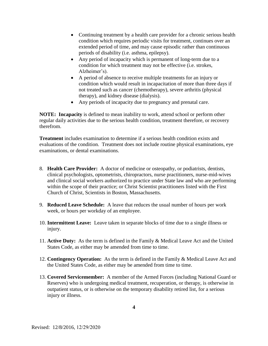- Continuing treatment by a health care provider for a chronic serious health condition which requires periodic visits for treatment, continues over an extended period of time, and may cause episodic rather than continuous periods of disability (i.e. asthma, epilepsy).
- Any period of incapacity which is permanent of long-term due to a condition for which treatment may not be effective (i.e. strokes, Alzheimer's).
- A period of absence to receive multiple treatments for an injury or condition which would result in incapacitation of more than three days if not treated such as cancer (chemotherapy), severe arthritis (physical therapy), and kidney disease (dialysis).
- Any periods of incapacity due to pregnancy and prenatal care.

**NOTE: Incapacity** is defined to mean inability to work, attend school or perform other regular daily activities due to the serious health condition, treatment therefore, or recovery therefrom.

**Treatment** includes examination to determine if a serious health condition exists and evaluations of the condition. Treatment does not include routine physical examinations, eye examinations, or dental examinations.

- 8. **Health Care Provider:** A doctor of medicine or osteopathy, or podiatrists, dentists, clinical psychologists, optometrists, chiropractors, nurse practitioners, nurse-mid-wives and clinical social workers authorized to practice under State law and who are performing within the scope of their practice; or Christ Scientist practitioners listed with the First Church of Christ, Scientists in Boston, Massachusetts.
- 9. **Reduced Leave Schedule:** A leave that reduces the usual number of hours per work week, or hours per workday of an employee.
- 10. **Intermittent Leave:** Leave taken in separate blocks of time due to a single illness or injury.
- 11. **Active Duty:** As the term is defined in the Family & Medical Leave Act and the United States Code, as either may be amended from time to time.
- 12. **Contingency Operation:** As the term is defined in the Family & Medical Leave Act and the United States Code, as either may be amended from time to time.
- 13. **Covered Servicemember:** A member of the Armed Forces (including National Guard or Reserves) who is undergoing medical treatment, recuperation, or therapy, is otherwise in outpatient status, or is otherwise on the temporary disability retired list, for a serious injury or illness.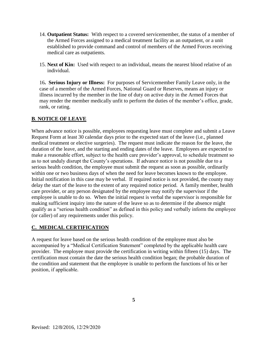- 14. **Outpatient Status:** With respect to a covered servicemember, the status of a member of the Armed Forces assigned to a medical treatment facility as an outpatient, or a unit established to provide command and control of members of the Armed Forces receiving medical care as outpatients.
- 15. **Next of Kin:** Used with respect to an individual, means the nearest blood relative of an individual.

16**. Serious Injury or Illness:** For purposes of Servicemember Family Leave only, in the case of a member of the Armed Forces, National Guard or Reserves, means an injury or illness incurred by the member in the line of duty on active duty in the Armed Forces that may render the member medically unfit to perform the duties of the member's office, grade, rank, or rating.

# **B**. **NOTICE OF LEAVE**

When advance notice is possible, employees requesting leave must complete and submit a Leave Request Form at least 30 calendar days prior to the expected start of the leave (i.e., planned medical treatment or elective surgeries). The request must indicate the reason for the leave, the duration of the leave, and the starting and ending dates of the leave. Employees are expected to make a reasonable effort, subject to the health care provider's approval, to schedule treatment so as to not unduly disrupt the County's operations. If advance notice is not possible due to a serious health condition, the employee must submit the request as soon as possible, ordinarily within one or two business days of when the need for leave becomes known to the employee. Initial notification in this case may be verbal. If required notice is not provided, the county may delay the start of the leave to the extent of any required notice period. A family member, health care provider, or any person designated by the employee may notify the supervisor if the employee is unable to do so. When the initial request is verbal the supervisor is responsible for making sufficient inquiry into the nature of the leave so as to determine if the absence might qualify as a "serious health condition" as defined in this policy and verbally inform the employee (or caller) of any requirements under this policy.

#### **C. MEDICAL CERTIFICATION**

A request for leave based on the serious health condition of the employee must also be accompanied by a "Medical Certification Statement" completed by the applicable health care provider. The employee must provide the certification in writing within fifteen (15) days. The certification must contain the date the serious health condition began; the probable duration of the condition and statement that the employee is unable to perform the functions of his or her position, if applicable.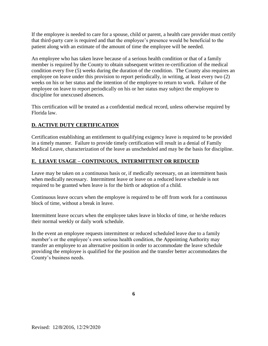If the employee is needed to care for a spouse, child or parent, a health care provider must certify that third-party care is required and that the employee's presence would be beneficial to the patient along with an estimate of the amount of time the employee will be needed.

An employee who has taken leave because of a serious health condition or that of a family member is required by the County to obtain subsequent written re-certification of the medical condition every five (5) weeks during the duration of the condition. The County also requires an employee on leave under this provision to report periodically, in writing, at least every two (2) weeks on his or her status and the intention of the employee to return to work. Failure of the employee on leave to report periodically on his or her status may subject the employee to discipline for unexcused absences.

This certification will be treated as a confidential medical record, unless otherwise required by Florida law.

# **D. ACTIVE DUTY CERTIFICATION**

Certification establishing an entitlement to qualifying exigency leave is required to be provided in a timely manner. Failure to provide timely certification will result in a denial of Family Medical Leave, characterization of the leave as unscheduled and may be the basis for discipline.

# **E. LEAVE USAGE – CONTINUOUS, INTERMITTENT OR REDUCED**

Leave may be taken on a continuous basis or, if medically necessary, on an intermittent basis when medically necessary. Intermittent leave or leave on a reduced leave schedule is not required to be granted when leave is for the birth or adoption of a child.

Continuous leave occurs when the employee is required to be off from work for a continuous block of time, without a break in leave.

Intermittent leave occurs when the employee takes leave in blocks of time, or he/she reduces their normal weekly or daily work schedule.

In the event an employee requests intermittent or reduced scheduled leave due to a family member's or the employee's own serious health condition, the Appointing Authority may transfer an employee to an alternative position in order to accommodate the leave schedule providing the employee is qualified for the position and the transfer better accommodates the County's business needs.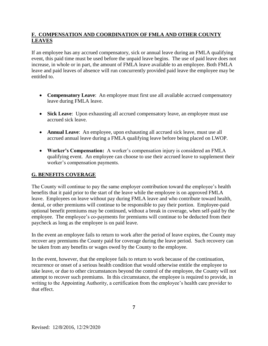# **F. COMPENSATION AND COORDINATION OF FMLA AND OTHER COUNTY LEAVES**

If an employee has any accrued compensatory, sick or annual leave during an FMLA qualifying event, this paid time must be used before the unpaid leave begins. The use of paid leave does not increase, in whole or in part, the amount of FMLA leave available to an employee. Both FMLA leave and paid leaves of absence will run concurrently provided paid leave the employee may be entitled to.

- **Compensatory Leave**: An employee must first use all available accrued compensatory leave during FMLA leave.
- **Sick Leave**: Upon exhausting all accrued compensatory leave, an employee must use accrued sick leave.
- **Annual Leave**: An employee, upon exhausting all accrued sick leave, must use all accrued annual leave during a FMLA qualifying leave before being placed on LWOP.
- **Worker's Compensation:** A worker's compensation injury is considered an FMLA qualifying event. An employee can choose to use their accrued leave to supplement their worker's compensation payments.

# **G. BENEFITS COVERAGE**

The County will continue to pay the same employer contribution toward the employee's health benefits that it paid prior to the start of the leave while the employee is on approved FMLA leave. Employees on leave without pay during FMLA leave and who contribute toward health, dental, or other premiums will continue to be responsible to pay their portion. Employee-paid optional benefit premiums may be continued, without a break in coverage, when self-paid by the employee. The employee's co-payments for premiums will continue to be deducted from their paycheck as long as the employee is on paid leave.

In the event an employee fails to return to work after the period of leave expires, the County may recover any premiums the County paid for coverage during the leave period. Such recovery can be taken from any benefits or wages owed by the County to the employee.

In the event, however, that the employee fails to return to work because of the continuation, recurrence or onset of a serious health condition that would otherwise entitle the employee to take leave, or due to other circumstances beyond the control of the employee, the County will not attempt to recover such premiums. In this circumstance, the employee is required to provide, in writing to the Appointing Authority, a certification from the employee's health care provider to that effect.